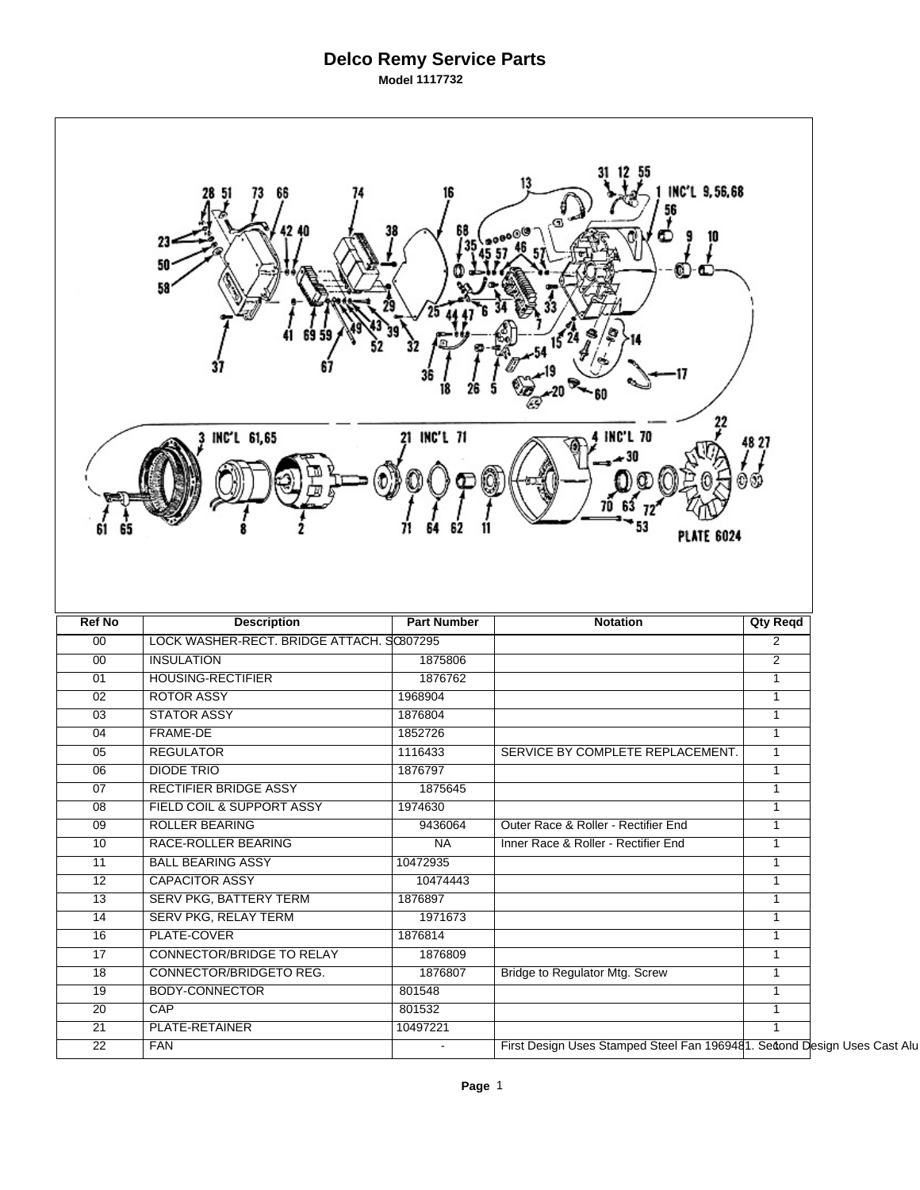## **Delco Remy Service Parts Model 1117732**

|                 | 23-<br>50<br>58<br>INC'L 61,65            | 21 INC'L 71        | INC'L 9,56,68<br><b>INC'L 70</b><br><b>PLATE 6024</b>                    |                 |  |
|-----------------|-------------------------------------------|--------------------|--------------------------------------------------------------------------|-----------------|--|
| <b>Ref No</b>   | <b>Description</b>                        | <b>Part Number</b> | <b>Notation</b>                                                          | <b>Qty Reqd</b> |  |
| 00              | LOCK WASHER-RECT. BRIDGE ATTACH. SC807295 |                    |                                                                          | $\overline{2}$  |  |
| 00              | <b>INSULATION</b>                         | 1875806            |                                                                          | $\overline{2}$  |  |
| 01              | <b>HOUSING-RECTIFIER</b>                  | 1876762            |                                                                          | $\mathbf{1}$    |  |
| 02              | <b>ROTOR ASSY</b>                         | 1968904            |                                                                          | $\mathbf{1}$    |  |
| 03              | <b>STATOR ASSY</b>                        | 1876804            |                                                                          | $\mathbf{1}$    |  |
| 04              | <b>FRAME-DE</b>                           | 1852726            |                                                                          | $\mathbf{1}$    |  |
| 05              | <b>REGULATOR</b>                          | 1116433            | SERVICE BY COMPLETE REPLACEMENT.                                         | $\mathbf{1}$    |  |
| 06              | <b>DIODE TRIO</b>                         | 1876797            |                                                                          | $\mathbf{1}$    |  |
| 07              | <b>RECTIFIER BRIDGE ASSY</b>              | 1875645            |                                                                          | $\mathbf{1}$    |  |
| 08              | FIELD COIL & SUPPORT ASSY                 | 1974630            |                                                                          | $\mathbf{1}$    |  |
| 09              | <b>ROLLER BEARING</b>                     | 9436064            | Outer Race & Roller - Rectifier End                                      | $\mathbf{1}$    |  |
| $\overline{10}$ | RACE-ROLLER BEARING                       | NA                 | Inner Race & Roller - Rectifier End                                      | $\mathbf{1}$    |  |
| $\overline{11}$ | <b>BALL BEARING ASSY</b>                  | 10472935           |                                                                          | $\mathbf{1}$    |  |
| $\overline{12}$ | <b>CAPACITOR ASSY</b>                     | 10474443           |                                                                          | $\mathbf{1}$    |  |
| $\overline{13}$ | <b>SERV PKG, BATTERY TERM</b>             | 1876897            |                                                                          | $\mathbf{1}$    |  |
| 14              | SERV PKG, RELAY TERM                      | 1971673            |                                                                          | $\overline{1}$  |  |
| $\overline{16}$ | PLATE-COVER                               | 1876814            |                                                                          | $\mathbf{1}$    |  |
| $\overline{17}$ | CONNECTOR/BRIDGE TO RELAY                 | 1876809            |                                                                          | $\mathbf{1}$    |  |
| 18              | CONNECTOR/BRIDGETO REG.                   | 1876807            | <b>Bridge to Regulator Mtg. Screw</b>                                    | $\mathbf{1}$    |  |
| 19              | <b>BODY-CONNECTOR</b>                     | 801548             |                                                                          | $\mathbf{1}$    |  |
| $\overline{20}$ | CAP                                       | 801532             |                                                                          | $\mathbf{1}$    |  |
| 21              | PLATE-RETAINER                            | 10497221           |                                                                          | $\mathbf{1}$    |  |
| $\overline{22}$ | <b>FAN</b>                                |                    | First Design Uses Stamped Steel Fan 1969481. Second Design Uses Cast Alu |                 |  |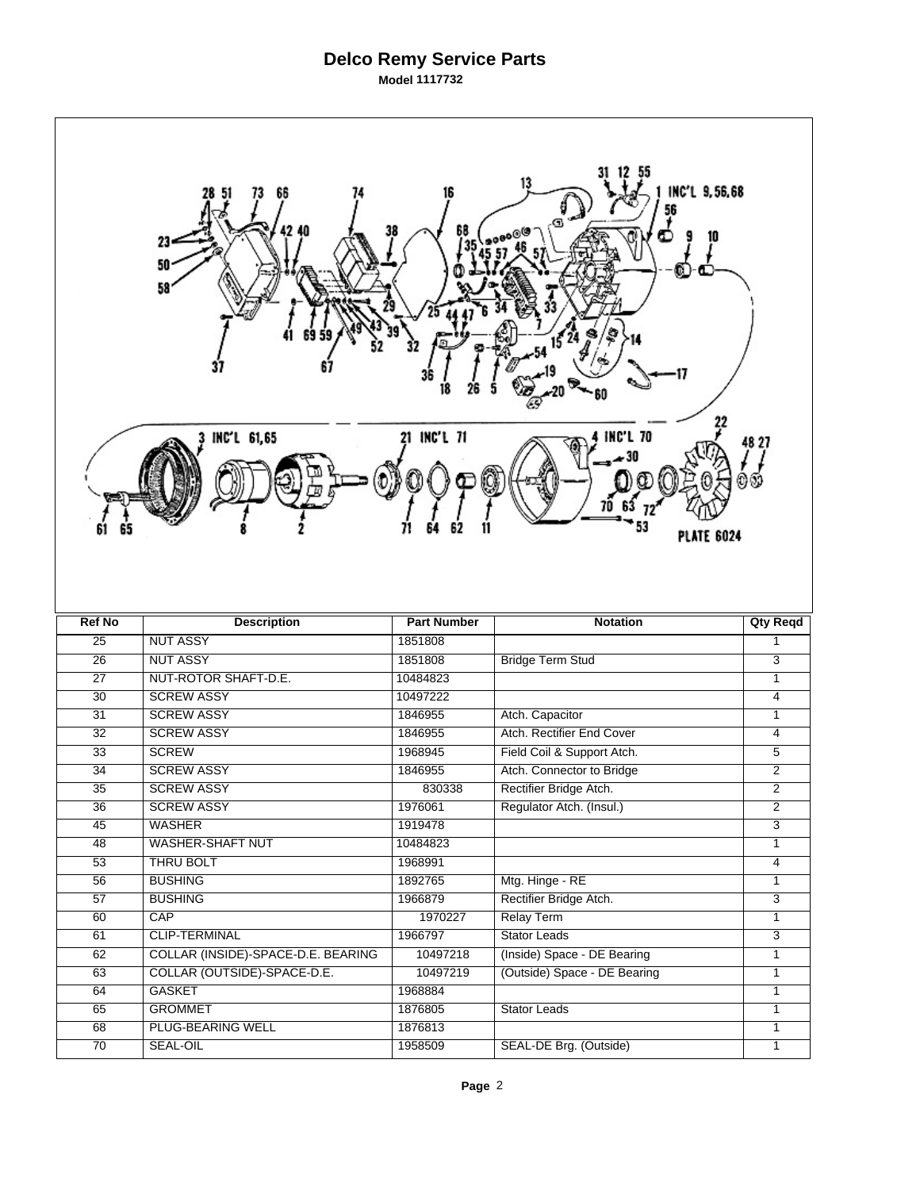## **Delco Remy Service Parts Model 1117732**

| 13<br>INC'L 9,56,68<br>66<br>56<br>68<br>38<br>Œ<br>23<br>50<br>58<br>Ş<br>$15^{24}$<br>36<br>21 INC'L 71<br><b>INC'L 70</b><br>INC'L 61,65<br>48 27<br><b>PLATE 6024</b> |                                    |                    |                              |                 |  |  |  |
|---------------------------------------------------------------------------------------------------------------------------------------------------------------------------|------------------------------------|--------------------|------------------------------|-----------------|--|--|--|
| <b>Ref No</b>                                                                                                                                                             | <b>Description</b>                 | <b>Part Number</b> | <b>Notation</b>              | <b>Qty Reqd</b> |  |  |  |
| 25                                                                                                                                                                        | <b>NUT ASSY</b>                    | 1851808            |                              | $\mathbf{1}$    |  |  |  |
| $\overline{26}$                                                                                                                                                           | <b>NUT ASSY</b>                    | 1851808            | <b>Bridge Term Stud</b>      | $\overline{3}$  |  |  |  |
| $\overline{27}$                                                                                                                                                           | NUT-ROTOR SHAFT-D.E.               | 10484823           |                              | 1               |  |  |  |
| $\overline{30}$                                                                                                                                                           | <b>SCREW ASSY</b>                  | 10497222           |                              | 4               |  |  |  |
| 31                                                                                                                                                                        | <b>SCREW ASSY</b>                  | 1846955            | Atch. Capacitor              | $\mathbf{1}$    |  |  |  |
| $\overline{32}$                                                                                                                                                           | <b>SCREW ASSY</b>                  | 1846955            | Atch. Rectifier End Cover    | 4               |  |  |  |
| 33                                                                                                                                                                        | <b>SCREW</b>                       | 1968945            | Field Coil & Support Atch.   | 5               |  |  |  |
| 34                                                                                                                                                                        | <b>SCREW ASSY</b>                  | 1846955            | Atch. Connector to Bridge    | $\overline{c}$  |  |  |  |
| $\overline{35}$                                                                                                                                                           | <b>SCREW ASSY</b>                  | 830338             | Rectifier Bridge Atch.       | $\overline{2}$  |  |  |  |
| 36                                                                                                                                                                        | <b>SCREW ASSY</b>                  | 1976061            | Regulator Atch. (Insul.)     | $\overline{2}$  |  |  |  |
| 45                                                                                                                                                                        | <b>WASHER</b>                      | 1919478            |                              | $\overline{3}$  |  |  |  |
| $\overline{48}$                                                                                                                                                           | <b>WASHER-SHAFT NUT</b>            | 10484823           |                              | $\mathbf{1}$    |  |  |  |
| 53                                                                                                                                                                        | <b>THRU BOLT</b>                   | 1968991            |                              | $\overline{4}$  |  |  |  |
| 56                                                                                                                                                                        | <b>BUSHING</b>                     | 1892765            | Mtg. Hinge - RE              | $\mathbf{1}$    |  |  |  |
| $\overline{57}$                                                                                                                                                           | <b>BUSHING</b>                     | 1966879            | Rectifier Bridge Atch.       | $\overline{3}$  |  |  |  |
| 60                                                                                                                                                                        | CAP                                | 1970227            | <b>Relay Term</b>            | $\mathbf{1}$    |  |  |  |
| 61                                                                                                                                                                        | <b>CLIP-TERMINAL</b>               | 1966797            | Stator Leads                 | 3               |  |  |  |
| 62                                                                                                                                                                        | COLLAR (INSIDE)-SPACE-D.E. BEARING | 10497218           | (Inside) Space - DE Bearing  | $\mathbf{1}$    |  |  |  |
| 63                                                                                                                                                                        | COLLAR (OUTSIDE)-SPACE-D.E.        | 10497219           | (Outside) Space - DE Bearing | $\mathbf{1}$    |  |  |  |
| 64                                                                                                                                                                        | <b>GASKET</b>                      | 1968884            |                              | $\mathbf{1}$    |  |  |  |
| 65                                                                                                                                                                        | <b>GROMMET</b>                     | 1876805            | <b>Stator Leads</b>          | 1               |  |  |  |
| 68                                                                                                                                                                        | PLUG-BEARING WELL                  | 1876813            |                              | $\mathbf{1}$    |  |  |  |
| $\overline{70}$                                                                                                                                                           | <b>SEAL-OIL</b>                    | 1958509            | SEAL-DE Brg. (Outside)       | $\mathbf{1}$    |  |  |  |